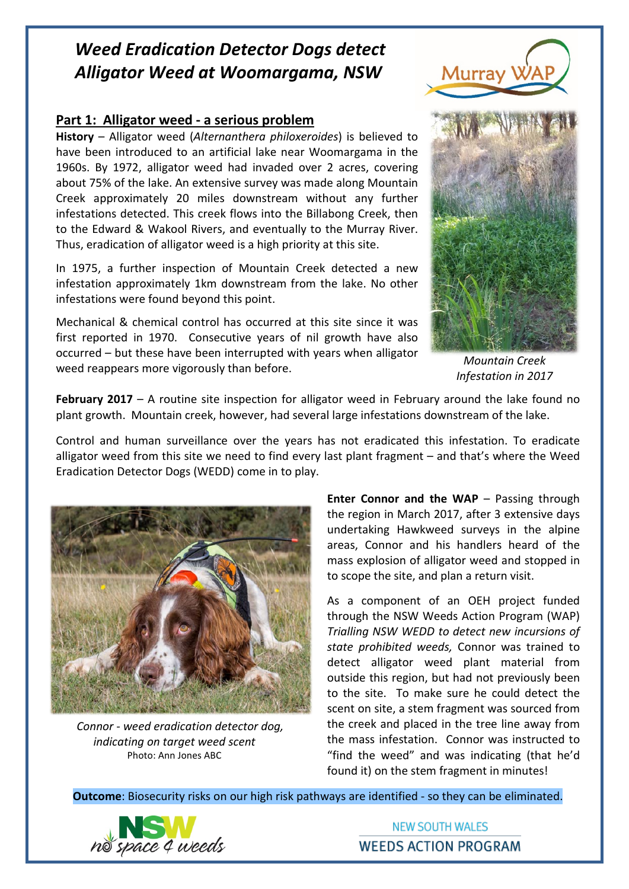## *Weed Eradication Detector Dogs detect Alligator Weed at Woomargama, NSW*

## **Part 1: Alligator weed - a serious problem**

**History** – Alligator weed (*Alternanthera philoxeroides*) is believed to have been introduced to an artificial lake near Woomargama in the 1960s. By 1972, alligator weed had invaded over 2 acres, covering about 75% of the lake. An extensive survey was made along Mountain Creek approximately 20 miles downstream without any further infestations detected. This creek flows into the Billabong Creek, then to the Edward & Wakool Rivers, and eventually to the Murray River. Thus, eradication of alligator weed is a high priority at this site.

In 1975, a further inspection of Mountain Creek detected a new infestation approximately 1km downstream from the lake. No other infestations were found beyond this point.

Mechanical & chemical control has occurred at this site since it was first reported in 1970. Consecutive years of nil growth have also occurred – but these have been interrupted with years when alligator weed reappears more vigorously than before.



Murray

*Mountain Creek Infestation in 2017*

**February 2017** – A routine site inspection for alligator weed in February around the lake found no plant growth. Mountain creek, however, had several large infestations downstream of the lake.

Control and human surveillance over the years has not eradicated this infestation. To eradicate alligator weed from this site we need to find every last plant fragment – and that's where the Weed Eradication Detector Dogs (WEDD) come in to play.



 *Connor - weed eradication detector dog, indicating on target weed scent* Photo: Ann Jones ABC

**Enter Connor and the WAP** – Passing through the region in March 2017, after 3 extensive days undertaking Hawkweed surveys in the alpine areas, Connor and his handlers heard of the mass explosion of alligator weed and stopped in to scope the site, and plan a return visit.

As a component of an OEH project funded through the NSW Weeds Action Program (WAP) *Trialling NSW WEDD to detect new incursions of state prohibited weeds,* Connor was trained to detect alligator weed plant material from outside this region, but had not previously been to the site. To make sure he could detect the scent on site, a stem fragment was sourced from the creek and placed in the tree line away from the mass infestation. Connor was instructed to "find the weed" and was indicating (that he'd found it) on the stem fragment in minutes!

**Outcome**: Biosecurity risks on our high risk pathways are identified - so they can be eliminated.



**NEW SOUTH WALES WEEDS ACTION PROGRAM**